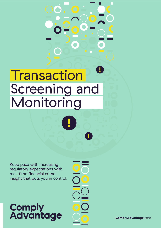# **! Transaction** Screening and Monitoring

**!**

Keep pace with increasing regulatory expectations with real-time financial crime insight that puts you in control.

# **Comply<br>Advantage**

**!**

**ComplyAdvantage**.com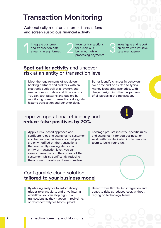## Transaction Monitoring

Automatically monitor customer transactions and screen suspicious financial activity

Integrate customer and transaction data streams in any format

Monitor transactions for suspicious behaviour while processing payments Integrate customer<br>
and transaction data<br>
streams in any format<br>
processing payments

Investigate and report on alerts with intuitive case management

#### **Spot outlier activity** and uncover risk at an entity or transaction level

Meet the requirements of regulators, banking partners and auditors with an electronic audit trail of all system and user actions with date and time stamps. You can spot patterns and outliers by monitoring current transactions alongside historic transaction and behavior data.

Better identify changes in behaviour over time and be alerted to typical money laundering scenarios, with deeper insight into the risk patterns of all parties in the transaction.

#### Improve operational efficiency and **reduce false positives by 70%**

Apply a risk-based approach and configure rules and scenarios to customer and transaction risk levels, so that you are only notified on the transactions that matter. By viewing alerts at an entity or transaction level, you can assess transactions in the context of the customer, whilst significantly reducing the amount of alerts you have to review.

#### Configurable cloud solution, **tailored to your business model**

By utilizing analytics to automatically trigger relevant alerts and drive internal workflow, you can stop high-risk transactions as they happen in real-time, or retrospectively via batch upload.

Leverage pre-set industry-specific rules and scenarios fit for you business, or work with our dedicated implementation team to build your own.

**!**

#### Benefit from flexible API integration and adapt to risks at reduced cost, without relying on technology teams.

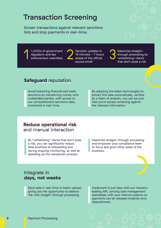### Transaction Screening

Screen transactions against relevant sanctions lists and stop payments in real-time.

1,000s of government regulatory and law enforcement watchlists



Sanction updates in 15 minutes - 7 hours ahead of the official source email 1,000s of government<br>
regulatory and law<br>
enforcement watchlists<br>
ahead of the official<br>
source email

Maximize straightthrough processing by 'whitelisting' clients that don't pose a risk

#### **Safeguard** reputation

Avoid breaching financial and trade sanctions by transferring money with undesirable parties, with access to our comprehensive sanctions data, monitored in real-time.

By adopting the latest technologies to extract this data automatically, verified by a team of analysts, you can be sure that you're always screening against the cleanest information.

#### **Reduce operational risk**  and manual interaction

By "whitelisting" clients that don't pose a risk, you can significantly reduce false positives at onboarding and during ongoing monitoring, as well as speeding up the transaction process.

Maximize straight-through processing and empower your compliance team to focus and grow other areas of the business.

#### Integrate in **days, not weeks**

Send data in real-time or batch upload, giving you the opportunity to balance risk with straight-through processing.

Implement in just days with our industryleading API, syncing case management seamlessly with your internal systems so payments can be released instantly once dispositioned.

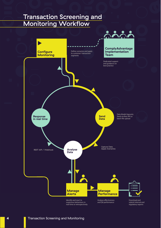#### Transaction Screening and Monitoring Workflow

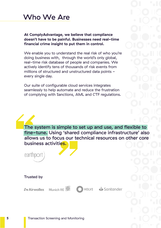

**At ComplyAdvantage, we believe that compliance doesn't have to be painful. Businesses need real-time financial crime insight to put them in control.**

We enable you to understand the real risk of who you're doing business with, through the world's only global, real-time risk database of people and companies. We actively identify tens of thousands of risk events from millions of structured and unstructured data points every single day.

Our suite of configurable cloud services integrates seamlessly to help automate and reduce the frustration of complying with Sanctions, AML and CTF regulations.

The system is simple to set up and use, and flexible to fine-tune. Using 'shared compliance infrastructure' also allows us to focus our technical resources on other core business activities.

earthport

#### Trusted by



HOLVI Santander